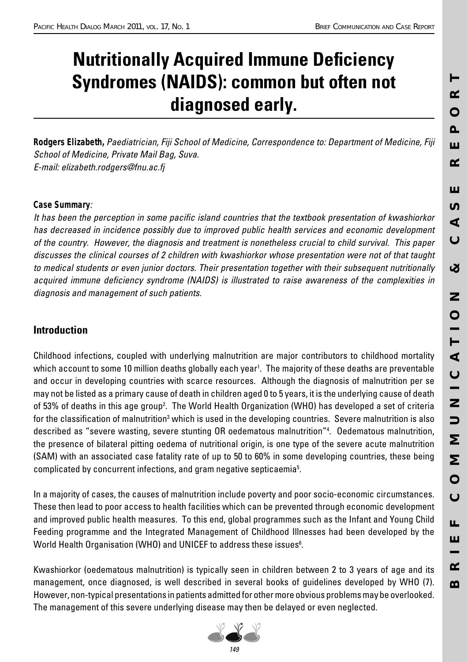# **Nutritionally Acquired Immune Deficiency Syndromes (NAIDS): common but often not diagnosed early.**

*Rodgers Elizabeth,* Paediatrician, Fiji School of Medicine, Correspondence to: Department of Medicine, Fiji School of Medicine, Private Mail Bag, Suva. E-mail: elizabeth.rodgers@fnu.ac.fj

## *Case Summary*:

It has been the perception in some pacific island countries that the textbook presentation of kwashiorkor has decreased in incidence possibly due to improved public health services and economic development of the country. However, the diagnosis and treatment is nonetheless crucial to child survival. This paper discusses the clinical courses of 2 children with kwashiorkor whose presentation were not of that taught to medical students or even junior doctors. Their presentation together with their subsequent nutritionally acquired immune deficiency syndrome (NAIDS) is illustrated to raise awareness of the complexities in diagnosis and management of such patients.

## **Introduction**

Childhood infections, coupled with underlying malnutrition are major contributors to childhood mortality which account to some 10 million deaths globally each year<sup>1</sup>. The majority of these deaths are preventable and occur in developing countries with scarce resources. Although the diagnosis of malnutrition per se may not be listed as a primary cause of death in children aged 0 to 5 years, it is the underlying cause of death of 53% of deaths in this age group<sup>2</sup>. The World Health Organization (WHO) has developed a set of criteria for the classification of malnutrition<sup>s</sup> which is used in the developing countries. Severe malnutrition is also described as "severe wasting, severe stunting OR oedematous malnutrition"4 . Oedematous malnutrition, the presence of bilateral pitting oedema of nutritional origin, is one type of the severe acute malnutrition (SAM) with an associated case fatality rate of up to 50 to 60% in some developing countries, these being complicated by concurrent infections, and gram negative septicaemia<sup>5</sup>.

In a majority of cases, the causes of malnutrition include poverty and poor socio-economic circumstances. These then lead to poor access to health facilities which can be prevented through economic development and improved public health measures. To this end, global programmes such as the Infant and Young Child Feeding programme and the Integrated Management of Childhood Illnesses had been developed by the World Health Organisation (WHO) and UNICEF to address these issues $^{\rm 6}$ .

Kwashiorkor (oedematous malnutrition) is typically seen in children between 2 to 3 years of age and its management, once diagnosed, is well described in several books of guidelines developed by WHO (7). However, non-typical presentations in patients admitted for other more obvious problems may be overlooked. The management of this severe underlying disease may then be delayed or even neglected.

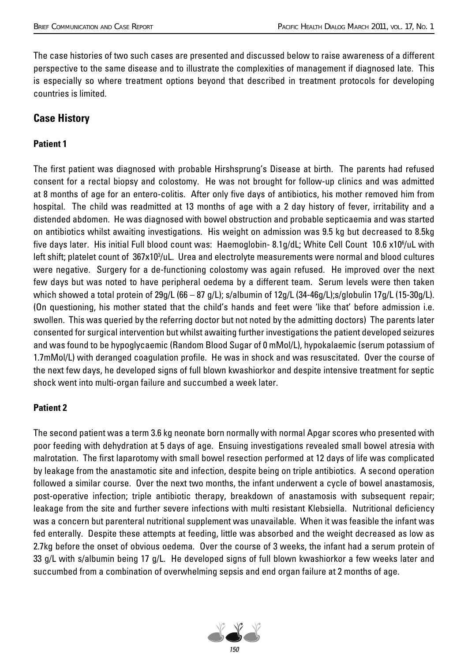The case histories of two such cases are presented and discussed below to raise awareness of a different perspective to the same disease and to illustrate the complexities of management if diagnosed late. This is especially so where treatment options beyond that described in treatment protocols for developing countries is limited.

## **Case History**

#### **Patient 1**

The first patient was diagnosed with probable Hirshsprung's Disease at birth. The parents had refused consent for a rectal biopsy and colostomy. He was not brought for follow-up clinics and was admitted at 8 months of age for an entero-colitis. After only five days of antibiotics, his mother removed him from hospital. The child was readmitted at 13 months of age with a 2 day history of fever, irritability and a distended abdomen. He was diagnosed with bowel obstruction and probable septicaemia and was started on antibiotics whilst awaiting investigations. His weight on admission was 9.5 kg but decreased to 8.5kg five days later. His initial Full blood count was: Haemoglobin- 8.1g/dL; White Cell Count 10.6 x10°/uL with left shift; platelet count of 367x10<sup>3</sup>/uL. Urea and electrolyte measurements were normal and blood cultures were negative. Surgery for a de-functioning colostomy was again refused. He improved over the next few days but was noted to have peripheral oedema by a different team. Serum levels were then taken which showed a total protein of 29g/L (66 – 87 g/L); s/albumin of 12g/L (34-46g/L);s/globulin 17g/L (15-30g/L). (On questioning, his mother stated that the child's hands and feet were 'like that' before admission i.e. swollen. This was queried by the referring doctor but not noted by the admitting doctors) The parents later consented for surgical intervention but whilst awaiting further investigations the patient developed seizures and was found to be hypoglycaemic (Random Blood Sugar of 0 mMol/L), hypokalaemic (serum potassium of 1.7mMol/L) with deranged coagulation profile. He was in shock and was resuscitated. Over the course of the next few days, he developed signs of full blown kwashiorkor and despite intensive treatment for septic shock went into multi-organ failure and succumbed a week later.

#### **Patient 2**

The second patient was a term 3.6 kg neonate born normally with normal Apgar scores who presented with poor feeding with dehydration at 5 days of age. Ensuing investigations revealed small bowel atresia with malrotation. The first laparotomy with small bowel resection performed at 12 days of life was complicated by leakage from the anastamotic site and infection, despite being on triple antibiotics. A second operation followed a similar course. Over the next two months, the infant underwent a cycle of bowel anastamosis, post-operative infection; triple antibiotic therapy, breakdown of anastamosis with subsequent repair; leakage from the site and further severe infections with multi resistant Klebsiella. Nutritional deficiency was a concern but parenteral nutritional supplement was unavailable. When it was feasible the infant was fed enterally. Despite these attempts at feeding, little was absorbed and the weight decreased as low as 2.7kg before the onset of obvious oedema. Over the course of 3 weeks, the infant had a serum protein of 33 g/L with s/albumin being 17 g/L. He developed signs of full blown kwashiorkor a few weeks later and succumbed from a combination of overwhelming sepsis and end organ failure at 2 months of age.

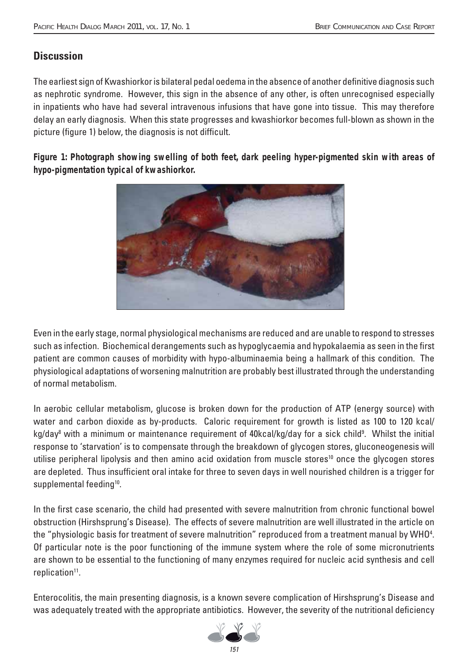# **Discussion**

The earliest sign of Kwashiorkor is bilateral pedal oedema in the absence of another definitive diagnosis such as nephrotic syndrome. However, this sign in the absence of any other, is often unrecognised especially in inpatients who have had several intravenous infusions that have gone into tissue. This may therefore delay an early diagnosis. When this state progresses and kwashiorkor becomes full-blown as shown in the picture (figure 1) below, the diagnosis is not difficult.

**Figure 1: Photograph showing swelling of both feet, dark peeling hyper-pigmented skin with areas of hypo-pigmentation typical of kwashiorkor.**



Even in the early stage, normal physiological mechanisms are reduced and are unable to respond to stresses such as infection. Biochemical derangements such as hypoglycaemia and hypokalaemia as seen in the first patient are common causes of morbidity with hypo-albuminaemia being a hallmark of this condition. The physiological adaptations of worsening malnutrition are probably best illustrated through the understanding of normal metabolism.

In aerobic cellular metabolism, glucose is broken down for the production of ATP (energy source) with water and carbon dioxide as by-products. Caloric requirement for growth is listed as 100 to 120 kcal/ kg/day<sup>8</sup> with a minimum or maintenance requirement of 40kcal/kg/day for a sick child<sup>9</sup>. Whilst the initial response to 'starvation' is to compensate through the breakdown of glycogen stores, gluconeogenesis will utilise peripheral lipolysis and then amino acid oxidation from muscle stores<sup>10</sup> once the glycogen stores are depleted. Thus insufficient oral intake for three to seven days in well nourished children is a trigger for supplemental feeding<sup>10</sup>.

In the first case scenario, the child had presented with severe malnutrition from chronic functional bowel obstruction (Hirshsprung's Disease). The effects of severe malnutrition are well illustrated in the article on the "physiologic basis for treatment of severe malnutrition" reproduced from a treatment manual by WHO $^{\rm 4}$ . Of particular note is the poor functioning of the immune system where the role of some micronutrients are shown to be essential to the functioning of many enzymes required for nucleic acid synthesis and cell replication<sup>11</sup>.

Enterocolitis, the main presenting diagnosis, is a known severe complication of Hirshsprung's Disease and was adequately treated with the appropriate antibiotics. However, the severity of the nutritional deficiency

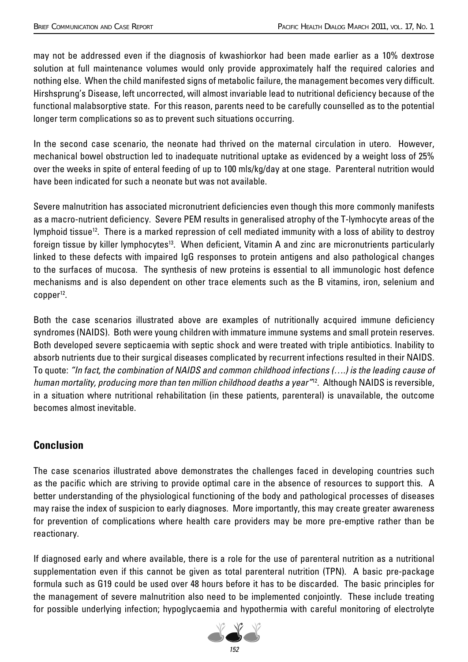may not be addressed even if the diagnosis of kwashiorkor had been made earlier as a 10% dextrose solution at full maintenance volumes would only provide approximately half the required calories and nothing else. When the child manifested signs of metabolic failure, the management becomes very difficult. Hirshsprung's Disease, left uncorrected, will almost invariable lead to nutritional deficiency because of the functional malabsorptive state. For this reason, parents need to be carefully counselled as to the potential longer term complications so as to prevent such situations occurring.

In the second case scenario, the neonate had thrived on the maternal circulation in utero. However, mechanical bowel obstruction led to inadequate nutritional uptake as evidenced by a weight loss of 25% over the weeks in spite of enteral feeding of up to 100 mls/kg/day at one stage. Parenteral nutrition would have been indicated for such a neonate but was not available.

Severe malnutrition has associated micronutrient deficiencies even though this more commonly manifests as a macro-nutrient deficiency. Severe PEM results in generalised atrophy of the T-lymhocyte areas of the lymphoid tissue<sup>12</sup>. There is a marked repression of cell mediated immunity with a loss of ability to destroy foreign tissue by killer lymphocytes<sup>13</sup>. When deficient, Vitamin A and zinc are micronutrients particularly linked to these defects with impaired IgG responses to protein antigens and also pathological changes to the surfaces of mucosa. The synthesis of new proteins is essential to all immunologic host defence mechanisms and is also dependent on other trace elements such as the B vitamins, iron, selenium and  $copper^{12}$ .

Both the case scenarios illustrated above are examples of nutritionally acquired immune deficiency syndromes (NAIDS). Both were young children with immature immune systems and small protein reserves. Both developed severe septicaemia with septic shock and were treated with triple antibiotics. Inability to absorb nutrients due to their surgical diseases complicated by recurrent infections resulted in their NAIDS. To quote: "In fact, the combination of NAIDS and common childhood infections (….) is the leading cause of human mortality, producing more than ten million childhood deaths a year<sup>"12</sup>. Although NAIDS is reversible, in a situation where nutritional rehabilitation (in these patients, parenteral) is unavailable, the outcome becomes almost inevitable.

## **Conclusion**

The case scenarios illustrated above demonstrates the challenges faced in developing countries such as the pacific which are striving to provide optimal care in the absence of resources to support this. A better understanding of the physiological functioning of the body and pathological processes of diseases may raise the index of suspicion to early diagnoses. More importantly, this may create greater awareness for prevention of complications where health care providers may be more pre-emptive rather than be reactionary.

If diagnosed early and where available, there is a role for the use of parenteral nutrition as a nutritional supplementation even if this cannot be given as total parenteral nutrition (TPN). A basic pre-package formula such as G19 could be used over 48 hours before it has to be discarded. The basic principles for the management of severe malnutrition also need to be implemented conjointly. These include treating for possible underlying infection; hypoglycaemia and hypothermia with careful monitoring of electrolyte